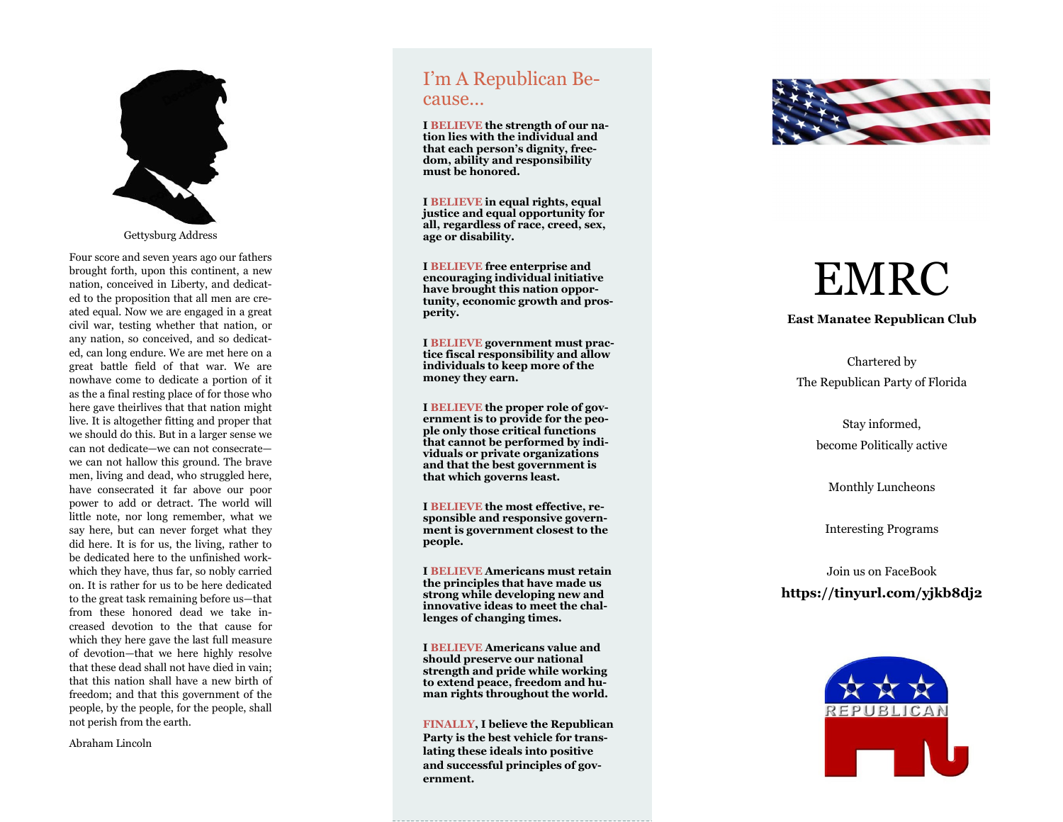

Gettysburg Address

Four score and seven years ago our fathers brought forth, upon this continent, a new nation, conceived in Liberty, and dedicated to the proposition that all men are created equal. Now we are engaged in a great civil war, testing whether that nation, or any nation, so conceived, and so dedicated, can long endure. We are met here on a great battle field of that war. We are nowhave come to dedicate a portion of it as the a final resting place of for those who here gave theirlives that that nation might live. It is altogether fitting and proper that we should do this. But in a larger sense we can not dedicate —we can not consecrate we can not hallow this ground. The brave men, living and dead, who struggled here, have consecrated it far above our poor power to add or detract. The world will little note, nor long remember, what we say here, but can never forget what they did here. It is for us, the living, rather to be dedicated here to the unfinished workwhich they have, thus far, so nobly carried on. It is rather for us to be here dedicated to the great task remaining before us —that from these honored dead we take increased devotion to the that cause for which they here gave the last full measure of devotion —that we here highly resolve that these dead shall not have died in vain; that this nation shall have a new birth of freedom; and that this government of the people, by the people, for the people, shall not perish from the earth.

Abraham Lincoln

# I 'm A Republican Because…

**I BELIEVE the strength of our nation lies with the individual and that each person 's dignity, freedom, ability and responsibility must be honored.**

**I BELIEVE in equal rights, equal justice and equal opportunity for all, regardless of race, creed, sex, age or disability.**

**I BELIEVE free enterprise and encouraging individual initiative have brought this nation opportunity, economic growth and prosperity.**

**I BELIEVE government must practice fiscal responsibility and allow individuals to keep more of the money they earn.**

**I BELIEVE the proper role of government is to provide for the people only those critical functions that cannot be performed by individuals or private organizations and that the best government is that which governs least.**

**I BELIEVE the most effective, responsible and responsive government is government closest to the people.**

**I BELIEVE Americans must retain the principles that have made us strong while developing new and innovative ideas to meet the challenges of changing times.**

**I BELIEVE Americans value and should preserve our national strength and pride while working to extend peace, freedom and human rights throughout the world.**

**FINALLY, I believe the Republican Party is the best vehicle for translating these ideals into positive and successful principles of government.**



# EMRC

#### **East Manatee Republican Club**

Chartered by The Republican Party of Florida

> Stay informed, become Politically active

Monthly Luncheons

Interesting Programs

## Join us on FaceBook **https://tinyurl.com/yjkb8dj2**